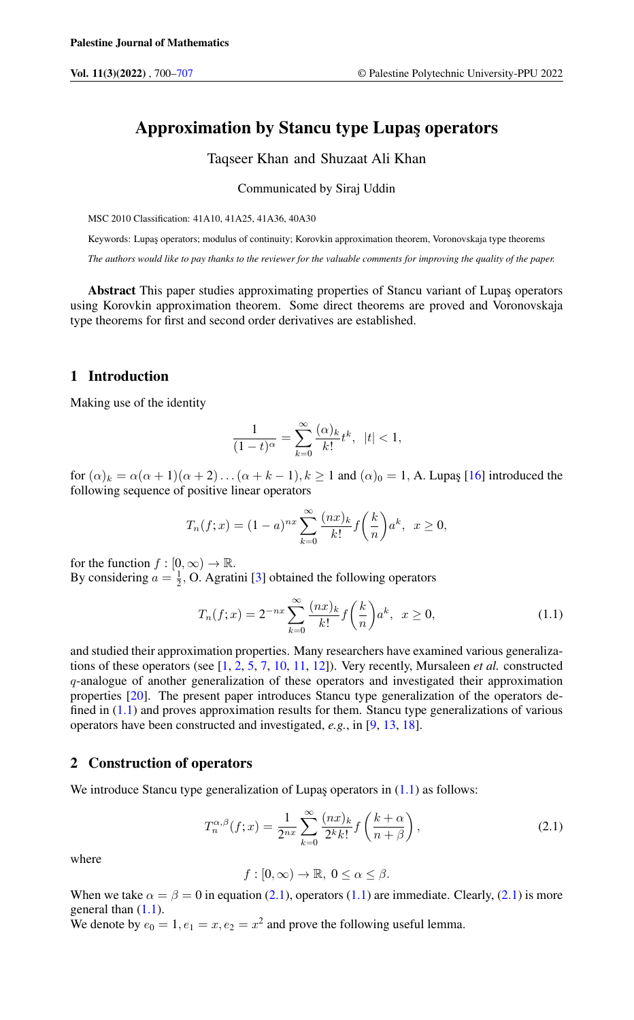# Approximation by Stancu type Lupas operators

Taqseer Khan and Shuzaat Ali Khan

Communicated by Siraj Uddin

MSC 2010 Classification: 41A10, 41A25, 41A36, 40A30

Keywords: Lupaş operators; modulus of continuity; Korovkin approximation theorem, Voronovskaja type theorems

*The authors would like to pay thanks to the reviewer for the valuable comments for improving the quality of the paper.*

Abstract This paper studies approximating properties of Stancu variant of Lupaş operators using Korovkin approximation theorem. Some direct theorems are proved and Voronovskaja type theorems for first and second order derivatives are established.

# 1 Introduction

Making use of the identity

$$
\frac{1}{(1-t)^{\alpha}} = \sum_{k=0}^{\infty} \frac{(\alpha)_k}{k!} t^k, \ |t| < 1,
$$

for  $(\alpha)_k = \alpha(\alpha+1)(\alpha+2)\dots(\alpha+k-1), k \ge 1$  and  $(\alpha)_0 = 1$ , A. Lupaş [\[16\]](#page-7-1) introduced the following sequence of positive linear operators

$$
T_n(f; x) = (1 - a)^{nx} \sum_{k=0}^{\infty} \frac{(nx)_k}{k!} f\left(\frac{k}{n}\right) a^k, \ \ x \ge 0,
$$

for the function  $f : [0, \infty) \to \mathbb{R}$ .

By considering  $a = \frac{1}{2}$ , O. Agratini [\[3\]](#page-7-2) obtained the following operators

<span id="page-0-0"></span>
$$
T_n(f;x) = 2^{-nx} \sum_{k=0}^{\infty} \frac{(nx)_k}{k!} f\left(\frac{k}{n}\right) a^k, \ \ x \ge 0,
$$
 (1.1)

and studied their approximation properties. Many researchers have examined various generalizations of these operators (see [\[1,](#page-7-3) [2,](#page-7-4) [5,](#page-7-5) [7,](#page-7-6) [10,](#page-7-7) [11,](#page-7-8) [12\]](#page-7-9)). Very recently, Mursaleen *et al.* constructed q-analogue of another generalization of these operators and investigated their approximation properties [\[20\]](#page-7-10). The present paper introduces Stancu type generalization of the operators defined in  $(1.1)$  and proves approximation results for them. Stancu type generalizations of various operators have been constructed and investigated, *e.g.*, in [\[9,](#page-7-11) [13,](#page-7-12) [18\]](#page-7-13).

# 2 Construction of operators

<span id="page-0-1"></span>We introduce Stancu type generalization of Lupaş operators in  $(1.1)$  as follows:

$$
T_n^{\alpha,\beta}(f;x) = \frac{1}{2^{nx}} \sum_{k=0}^{\infty} \frac{(nx)_k}{2^k k!} f\left(\frac{k+\alpha}{n+\beta}\right),\tag{2.1}
$$

where

 $f : [0, \infty) \to \mathbb{R}, 0 \leq \alpha \leq \beta.$ 

When we take  $\alpha = \beta = 0$  in equation [\(2.1\)](#page-0-1), operators [\(1.1\)](#page-0-0) are immediate. Clearly, [\(2](#page-0-1).1) is more general than  $(1.1)$ . We denote by  $e_0 = 1, e_1 = x, e_2 = x^2$  and prove the following useful lemma.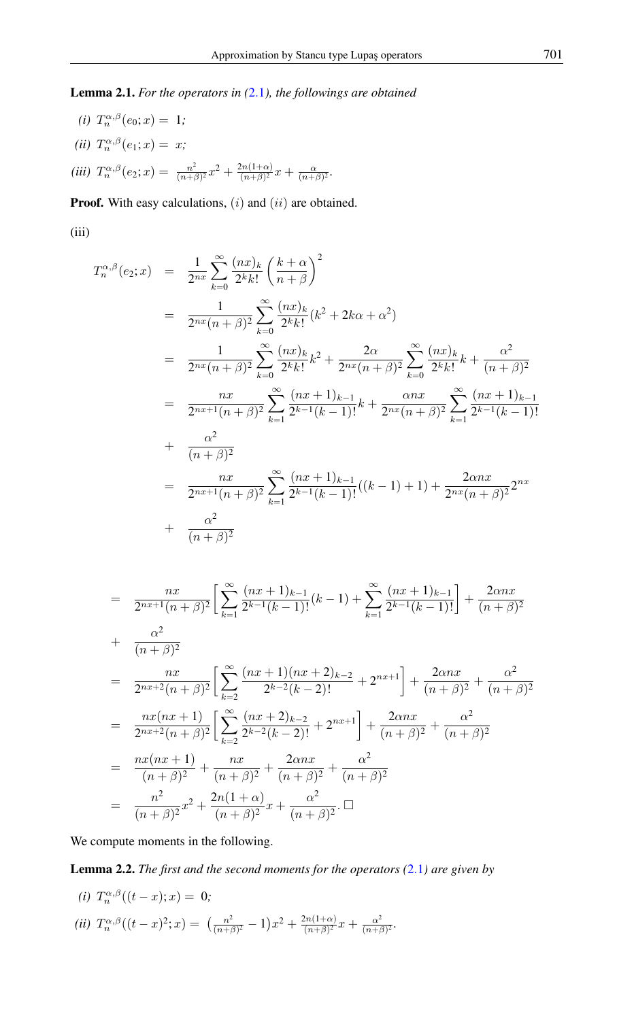Lemma 2.1. *For the operators in (*[2](#page-0-1).1*), the followings are obtained*

(*i*)  $T_n^{\alpha,\beta}(e_0; x) = 1;$ (*ii*)  $T_n^{\alpha,\beta}(e_1; x) = x;$ *(iii)*  $T_n^{\alpha,\beta}(e_2; x) = \frac{n^2}{(n+\beta)^2}$  $\frac{n^2}{(n+\beta)^2}x^2 + \frac{2n(1+\alpha)}{(n+\beta)^2}$  $\frac{2n(1+\alpha)}{(n+\beta)^2}x + \frac{\alpha}{(n+\beta)^2}.$ 

**Proof.** With easy calculations,  $(i)$  and  $(ii)$  are obtained.

(iii)

$$
T_n^{\alpha,\beta}(e_2;x) = \frac{1}{2^{nx}} \sum_{k=0}^{\infty} \frac{(nx)_k}{2^k k!} \left(\frac{k+\alpha}{n+\beta}\right)^2
$$
  
\n
$$
= \frac{1}{2^{nx}(n+\beta)^2} \sum_{k=0}^{\infty} \frac{(nx)_k}{2^k k!} (k^2 + 2k\alpha + \alpha^2)
$$
  
\n
$$
= \frac{1}{2^{nx}(n+\beta)^2} \sum_{k=0}^{\infty} \frac{(nx)_k}{2^k k!} k^2 + \frac{2\alpha}{2^{nx}(n+\beta)^2} \sum_{k=0}^{\infty} \frac{(nx)_k}{2^k k!} k + \frac{\alpha^2}{(n+\beta)^2}
$$
  
\n
$$
= \frac{nx}{2^{nx+1}(n+\beta)^2} \sum_{k=1}^{\infty} \frac{(nx+1)_{k-1}}{2^{k-1}(k-1)!} k + \frac{\alpha nx}{2^{nx}(n+\beta)^2} \sum_{k=1}^{\infty} \frac{(nx+1)_{k-1}}{2^{k-1}(k-1)!}
$$
  
\n+  $\frac{\alpha^2}{(n+\beta)^2}$   
\n
$$
= \frac{nx}{2^{nx+1}(n+\beta)^2} \sum_{k=1}^{\infty} \frac{(nx+1)_{k-1}}{2^{k-1}(k-1)!} ((k-1) + 1) + \frac{2\alpha nx}{2^{nx}(n+\beta)^2} 2^{nx}
$$
  
\n+  $\frac{\alpha^2}{(n+\beta)^2}$ 

$$
= \frac{nx}{2^{nx+1}(n+\beta)^2} \left[ \sum_{k=1}^{\infty} \frac{(nx+1)_{k-1}}{2^{k-1}(k-1)!} (k-1) + \sum_{k=1}^{\infty} \frac{(nx+1)_{k-1}}{2^{k-1}(k-1)!} \right] + \frac{2\alpha nx}{(n+\beta)^2}
$$
  
+ 
$$
\frac{\alpha^2}{(n+\beta)^2}
$$
  
= 
$$
\frac{nx}{2^{nx+2}(n+\beta)^2} \left[ \sum_{k=2}^{\infty} \frac{(nx+1)(nx+2)_{k-2}}{2^{k-2}(k-2)!} + 2^{nx+1} \right] + \frac{2\alpha nx}{(n+\beta)^2} + \frac{\alpha^2}{(n+\beta)^2}
$$
  
= 
$$
\frac{nx(nx+1)}{2^{nx+2}(n+\beta)^2} \left[ \sum_{k=2}^{\infty} \frac{(nx+2)_{k-2}}{2^{k-2}(k-2)!} + 2^{nx+1} \right] + \frac{2\alpha nx}{(n+\beta)^2} + \frac{\alpha^2}{(n+\beta)^2}
$$
  
= 
$$
\frac{nx(nx+1)}{(n+\beta)^2} + \frac{nx}{(n+\beta)^2} + \frac{2\alpha nx}{(n+\beta)^2} + \frac{\alpha^2}{(n+\beta)^2}
$$
  
= 
$$
\frac{n^2}{(n+\beta)^2} x^2 + \frac{2n(1+\alpha)}{(n+\beta)^2} x + \frac{\alpha^2}{(n+\beta)^2} \square
$$

We compute moments in the following.

Lemma 2.2. *The first and the second moments for the operators (*[2](#page-0-1).1*) are given by*

(*i*) 
$$
T_n^{\alpha,\beta}((t-x);x) = 0;
$$
  
\n(*ii*)  $T_n^{\alpha,\beta}((t-x)^2;x) = \left(\frac{n^2}{(n+\beta)^2} - 1\right)x^2 + \frac{2n(1+\alpha)}{(n+\beta)^2}x + \frac{\alpha^2}{(n+\beta)^2}.$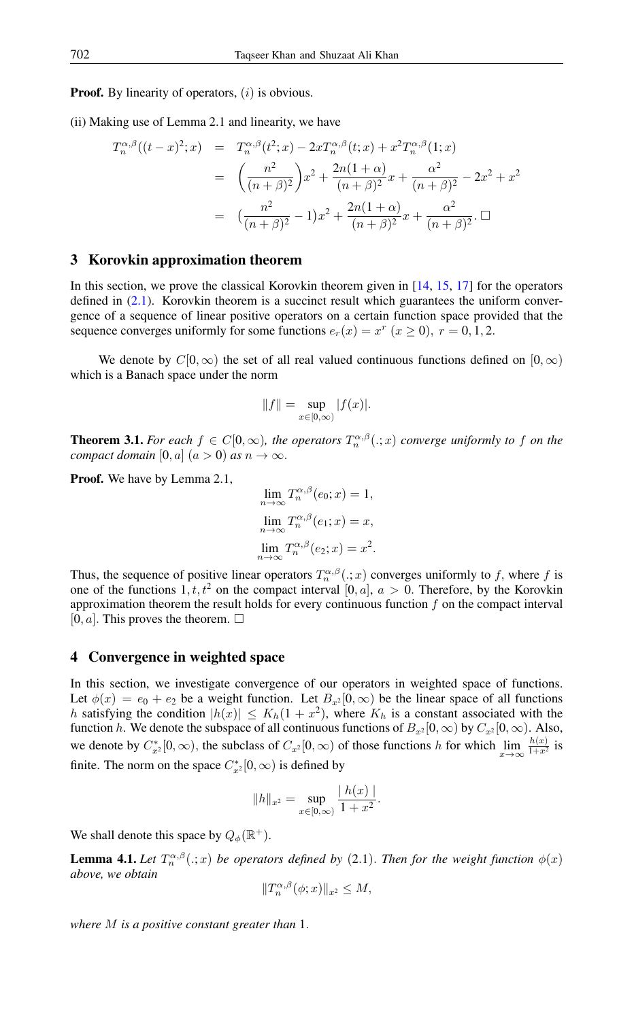**Proof.** By linearity of operators,  $(i)$  is obvious.

(ii) Making use of Lemma 2.1 and linearity, we have

$$
T_n^{\alpha,\beta}((t-x)^2;x) = T_n^{\alpha,\beta}(t^2;x) - 2xT_n^{\alpha,\beta}(t;x) + x^2T_n^{\alpha,\beta}(1;x)
$$
  

$$
= \left(\frac{n^2}{(n+\beta)^2}\right)x^2 + \frac{2n(1+\alpha)}{(n+\beta)^2}x + \frac{\alpha^2}{(n+\beta)^2} - 2x^2 + x^2
$$
  

$$
= \left(\frac{n^2}{(n+\beta)^2} - 1\right)x^2 + \frac{2n(1+\alpha)}{(n+\beta)^2}x + \frac{\alpha^2}{(n+\beta)^2}.\square
$$

#### 3 Korovkin approximation theorem

In this section, we prove the classical Korovkin theorem given in [\[14,](#page-7-14) [15,](#page-7-15) [17\]](#page-7-16) for the operators defined in  $(2.1)$ . Korovkin theorem is a succinct result which guarantees the uniform convergence of a sequence of linear positive operators on a certain function space provided that the sequence converges uniformly for some functions  $e_r(x) = x^r$   $(x \ge 0)$ ,  $r = 0, 1, 2$ .

We denote by  $C[0,\infty)$  the set of all real valued continuous functions defined on  $[0,\infty)$ which is a Banach space under the norm

$$
\|f\|=\sup_{x\in[0,\infty)}|f(x)|.
$$

**Theorem 3.1.** For each  $f \in C[0,\infty)$ , the operators  $T_n^{\alpha,\beta}(.;x)$  converge uniformly to f on the *compact domain* [0, a]  $(a > 0)$  *as*  $n \to \infty$ .

Proof. We have by Lemma 2.1,

$$
\lim_{n \to \infty} T_n^{\alpha, \beta}(e_0; x) = 1,
$$
  

$$
\lim_{n \to \infty} T_n^{\alpha, \beta}(e_1; x) = x,
$$
  

$$
\lim_{n \to \infty} T_n^{\alpha, \beta}(e_2; x) = x^2.
$$

Thus, the sequence of positive linear operators  $T_n^{\alpha,\beta}(.;x)$  converges uniformly to f, where f is one of the functions 1, t,  $t^2$  on the compact interval [0, a],  $a > 0$ . Therefore, by the Korovkin approximation theorem the result holds for every continuous function  $f$  on the compact interval [0, a]. This proves the theorem.  $\Box$ 

# 4 Convergence in weighted space

In this section, we investigate convergence of our operators in weighted space of functions. Let  $\phi(x) = e_0 + e_2$  be a weight function. Let  $B_{x^2} [0, \infty)$  be the linear space of all functions h satisfying the condition  $|h(x)| \le K_h(1+x^2)$ , where  $K_h$  is a constant associated with the function h. We denote the subspace of all continuous functions of  $B_{x^2}[0,\infty)$  by  $C_{x^2}[0,\infty)$ . Also, we denote by  $C_{x^2}^*[0, \infty)$ , the subclass of  $C_{x^2}[0, \infty)$  of those functions h for which  $\lim_{x\to\infty} \frac{h(x)}{1+x^2}$  $\frac{n(x)}{1+x^2}$  is finite. The norm on the space  $C_{x^2}^*[0, \infty)$  is defined by

$$
||h||_{x^2} = \sup_{x \in [0,\infty)} \frac{|h(x)|}{1+x^2}.
$$

We shall denote this space by  $Q_{\phi}(\mathbb{R}^+)$ .

**Lemma 4.1.** Let  $T_n^{\alpha,\beta}(.;x)$  be operators defined by (2.1). Then for the weight function  $\phi(x)$ *above, we obtain*

$$
||T_n^{\alpha,\beta}(\phi;x)||_{x^2} \le M,
$$

*where* M *is a positive constant greater than* 1.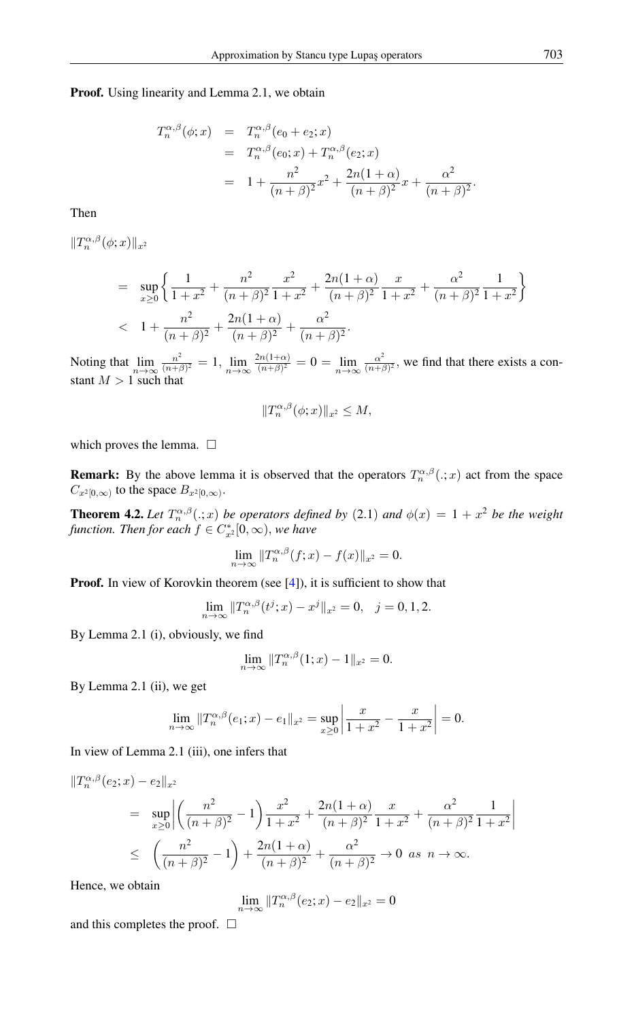#### Proof. Using linearity and Lemma 2.1, we obtain

$$
T_n^{\alpha,\beta}(\phi;x) = T_n^{\alpha,\beta}(e_0 + e_2; x)
$$
  
=  $T_n^{\alpha,\beta}(e_0; x) + T_n^{\alpha,\beta}(e_2; x)$   
=  $1 + \frac{n^2}{(n+\beta)^2}x^2 + \frac{2n(1+\alpha)}{(n+\beta)^2}x + \frac{\alpha^2}{(n+\beta)^2}.$ 

Then

 $||T_n^{\alpha,\beta}(\phi;x)||_{x^2}$ 

$$
= \sup_{x\geq 0} \left\{ \frac{1}{1+x^2} + \frac{n^2}{(n+\beta)^2} \frac{x^2}{1+x^2} + \frac{2n(1+\alpha)}{(n+\beta)^2} \frac{x}{1+x^2} + \frac{\alpha^2}{(n+\beta)^2} \frac{1}{1+x^2} \right\}
$$
  
< 1 +  $\frac{n^2}{(n+\beta)^2} + \frac{2n(1+\alpha)}{(n+\beta)^2} + \frac{\alpha^2}{(n+\beta)^2}.$ 

Noting that  $\lim_{n \to \infty} \frac{n^2}{(n+n)}$  $\frac{n^2}{(n+\beta)^2} = 1, \lim_{n \to \infty} \frac{2n(1+\alpha)}{(n+\beta)^2}$  $\frac{\sin(1+\alpha)}{(n+\beta)^2} = 0 = \lim_{n\to\infty} \frac{\alpha^2}{(n+\beta)^2}$  $\frac{\alpha^2}{(n+\beta)^2}$ , we find that there exists a constant  $M > 1$  such that

$$
||T_n^{\alpha,\beta}(\phi;x)||_{x^2} \le M,
$$

which proves the lemma.  $\Box$ 

**Remark:** By the above lemma it is observed that the operators  $T_n^{\alpha,\beta}(.;x)$  act from the space  $C_{x^2[0,\infty)}$  to the space  $B_{x^2[0,\infty)}$ .

**Theorem 4.2.** Let  $T_n^{\alpha,\beta}(.;x)$  be operators defined by (2.1) and  $\phi(x) = 1 + x^2$  be the weight *function. Then for each*  $f \in C_{x^2}^*[0, \infty)$ *, we have* 

$$
\lim_{n \to \infty} ||T_n^{\alpha,\beta}(f;x) - f(x)||_{x^2} = 0.
$$

**Proof.** In view of Korovkin theorem (see [\[4\]](#page-7-17)), it is sufficient to show that

$$
\lim_{n \to \infty} ||T_n^{\alpha,\beta}(t^j;x) - x^j||_{x^2} = 0, \quad j = 0, 1, 2.
$$

By Lemma 2.1 (i), obviously, we find

$$
\lim_{n \to \infty} ||T_n^{\alpha,\beta}(1;x) - 1||_{x^2} = 0.
$$

By Lemma 2.1 (ii), we get

$$
\lim_{n \to \infty} ||T_n^{\alpha,\beta}(e_1; x) - e_1||_{x^2} = \sup_{x \ge 0} \left| \frac{x}{1 + x^2} - \frac{x}{1 + x^2} \right| = 0.
$$

In view of Lemma 2.1 (iii), one infers that

$$
\begin{split} \|T_n^{\alpha,\beta}(e_2;x) - e_2\|_{x^2} \\ &= \sup_{x \ge 0} \left| \left( \frac{n^2}{(n+\beta)^2} - 1 \right) \frac{x^2}{1+x^2} + \frac{2n(1+\alpha)}{(n+\beta)^2} \frac{x}{1+x^2} + \frac{\alpha^2}{(n+\beta)^2} \frac{1}{1+x^2} \right| \\ &\le \left( \frac{n^2}{(n+\beta)^2} - 1 \right) + \frac{2n(1+\alpha)}{(n+\beta)^2} + \frac{\alpha^2}{(n+\beta)^2} \to 0 \text{ as } n \to \infty. \end{split}
$$

Hence, we obtain

$$
\lim_{n \to \infty} ||T_n^{\alpha,\beta}(e_2; x) - e_2||_{x^2} = 0
$$

and this completes the proof.  $\Box$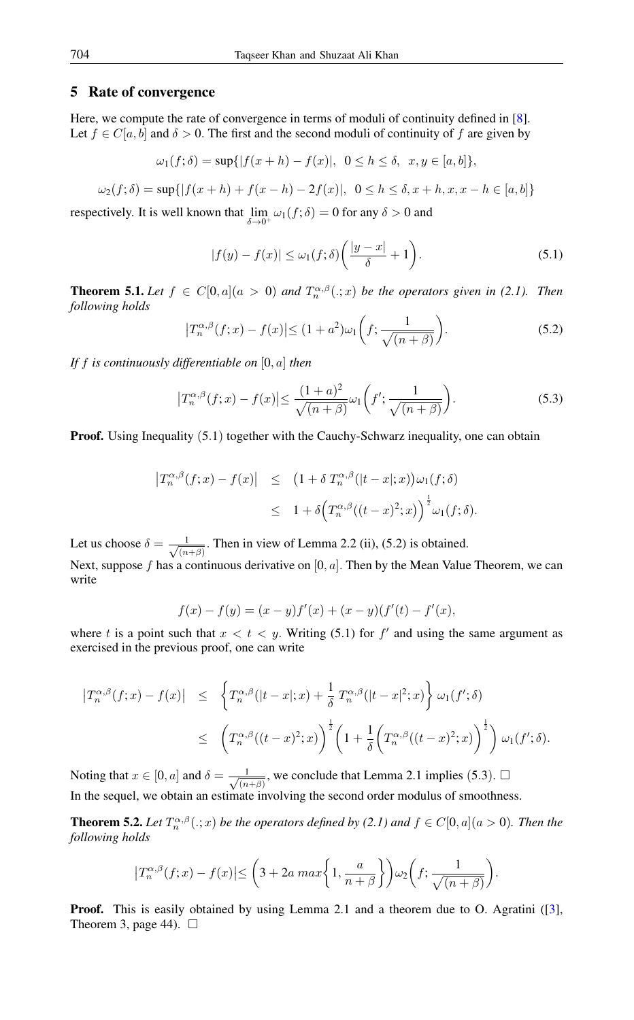### 5 Rate of convergence

Here, we compute the rate of convergence in terms of moduli of continuity defined in [\[8\]](#page-7-18). Let  $f \in C[a, b]$  and  $\delta > 0$ . The first and the second moduli of continuity of f are given by

$$
\omega_1(f; \delta) = \sup\{|f(x+h) - f(x)|, 0 \le h \le \delta, x, y \in [a, b]\},\
$$

$$
\omega_2(f; \delta) = \sup\{|f(x+h) + f(x-h) - 2f(x)|, \ 0 \le h \le \delta, x+h, x, x-h \in [a, b]\}
$$

respectively. It is well known that  $\lim_{\delta \to 0^+} \omega_1(f; \delta) = 0$  for any  $\delta > 0$  and

$$
|f(y) - f(x)| \le \omega_1(f; \delta) \left(\frac{|y - x|}{\delta} + 1\right). \tag{5.1}
$$

**Theorem 5.1.** Let  $f \in C[0, a](a > 0)$  and  $T_n^{\alpha, \beta}(.; x)$  be the operators given in (2.1). Then *following holds*

$$
\left|T_n^{\alpha,\beta}(f;x) - f(x)\right| \le (1+a^2)\omega_1\left(f; \frac{1}{\sqrt{(n+\beta)}}\right). \tag{5.2}
$$

*If* f *is continuously differentiable on* [0, a] *then*

$$
\left|T_n^{\alpha,\beta}(f;x) - f(x)\right| \le \frac{(1+a)^2}{\sqrt{(n+\beta)}} \omega_1\left(f';\frac{1}{\sqrt{(n+\beta)}}\right). \tag{5.3}
$$

**Proof.** Using Inequality (5.1) together with the Cauchy-Schwarz inequality, one can obtain

$$
\begin{array}{rcl} \left|T_n^{\alpha,\beta}(f;x)-f(x)\right| & \leq & \left(1+\delta\,T_n^{\alpha,\beta}(|t-x|;x)\right)\omega_1(f;\delta) \\ \\ & \leq & 1+\delta\Big(T_n^{\alpha,\beta}((t-x)^2;x)\Big)^{\frac{1}{2}}\omega_1(f;\delta). \end{array}
$$

Let us choose  $\delta = \frac{1}{\sqrt{2}}$  $\frac{1}{(n+\beta)}$ . Then in view of Lemma 2.2 (ii), (5.2) is obtained.

Next, suppose f has a continuous derivative on  $[0, a]$ . Then by the Mean Value Theorem, we can write

$$
f(x) - f(y) = (x - y)f'(x) + (x - y)(f'(t) - f'(x)),
$$

where t is a point such that  $x < t < y$ . Writing (5.1) for f' and using the same argument as exercised in the previous proof, one can write

$$
\begin{array}{lcl} \left|T_n^{\alpha,\beta}(f;x)-f(x)\right| & \leq & \left\{T_n^{\alpha,\beta}(|t-x|;x)+\frac{1}{\delta}\,T_n^{\alpha,\beta}(|t-x|^2;x)\right\}\,\omega_1(f';\delta) \\ \\ & \leq & \left(T_n^{\alpha,\beta}((t-x)^2;x)\right)^{\frac{1}{2}}\left(1+\frac{1}{\delta}\left(T_n^{\alpha,\beta}((t-x)^2;x)\right)^{\frac{1}{2}}\right)\,\omega_1(f';\delta). \end{array}
$$

Noting that  $x \in [0, a]$  and  $\delta = \frac{1}{\sqrt{a}}$  $\frac{1}{(n+\beta)}$ , we conclude that Lemma 2.1 implies (5.3).  $\Box$ In the sequel, we obtain an estimate involving the second order modulus of smoothness.

**Theorem 5.2.** Let  $T_n^{\alpha,\beta}(.;x)$  be the operators defined by (2.1) and  $f \in C[0, a](a > 0)$ . Then the *following holds*

$$
\left|T_n^{\alpha,\beta}(f;x) - f(x)\right| \le \left(3 + 2a \max\left\{1, \frac{a}{n+\beta}\right\}\right) \omega_2\left(f; \frac{1}{\sqrt{(n+\beta)}}\right).
$$

**Proof.** This is easily obtained by using Lemma 2.1 and a theorem due to O. Agratini ([\[3\]](#page-7-2), Theorem 3, page 44).  $\Box$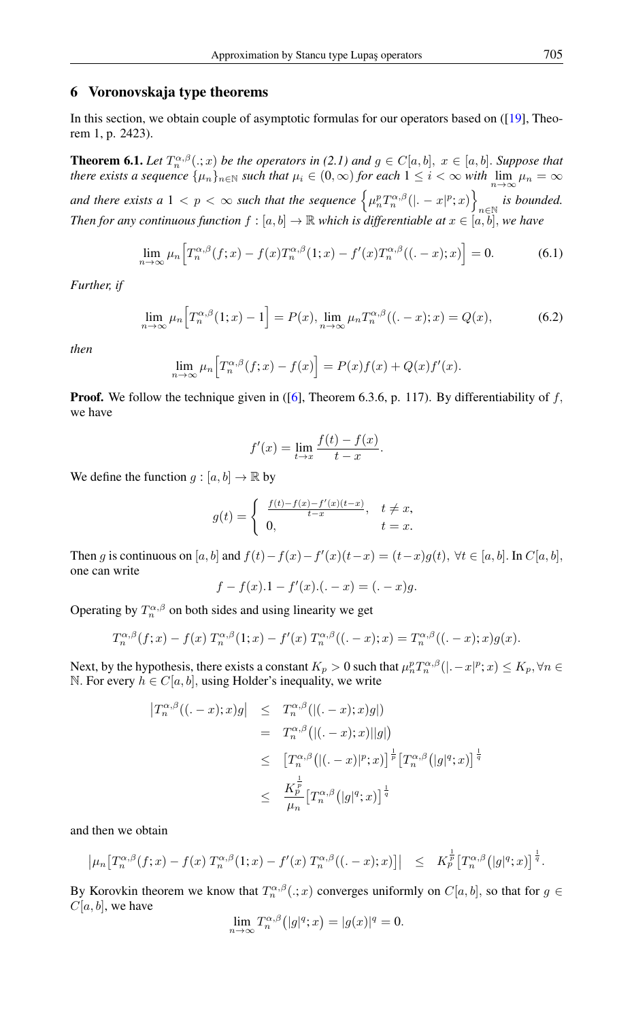#### 6 Voronovskaja type theorems

In this section, we obtain couple of asymptotic formulas for our operators based on ([\[19\]](#page-7-19), Theorem 1, p. 2423).

**Theorem 6.1.** *Let*  $T_n^{\alpha,\beta}(.;x)$  *be the operators in* (2.1) and  $g \in C[a,b], x \in [a,b]$ . *Suppose that there exists a sequence*  $\{\mu_n\}_{n\in\mathbb{N}}$  *such that*  $\mu_i \in (0,\infty)$  *for each*  $1 \leq i < \infty$  *with*  $\lim_{n\to\infty} \mu_n = \infty$ and there exists a  $1 < p < \infty$  such that the sequence  $\left\{\mu_n^p T_n^{\alpha,\beta}(|.-x|^p;x)\right\}$ n∈N *is bounded. Then for any continuous function*  $f : [a, b] \to \mathbb{R}$  which is differentiable at  $x \in [a, b]$ , we have

$$
\lim_{n \to \infty} \mu_n \Big[ T_n^{\alpha,\beta}(f;x) - f(x) T_n^{\alpha,\beta}(1;x) - f'(x) T_n^{\alpha,\beta}((\alpha, -x);x) \Big] = 0. \tag{6.1}
$$

*Further, if*

$$
\lim_{n \to \infty} \mu_n \Big[ T_n^{\alpha,\beta}(1;x) - 1 \Big] = P(x), \lim_{n \to \infty} \mu_n T_n^{\alpha,\beta}((1-x);x) = Q(x), \tag{6.2}
$$

*then*

$$
\lim_{n \to \infty} \mu_n \Big[ T_n^{\alpha,\beta}(f;x) - f(x) \Big] = P(x)f(x) + Q(x)f'(x).
$$

**Proof.** We follow the technique given in ([\[6\]](#page-7-20), Theorem 6.3.6, p. 117). By differentiability of  $f$ , we have

$$
f'(x) = \lim_{t \to x} \frac{f(t) - f(x)}{t - x}.
$$

We define the function  $g : [a, b] \to \mathbb{R}$  by

$$
g(t) = \begin{cases} \frac{f(t) - f(x) - f'(x)(t - x)}{t - x}, & t \neq x, \\ 0, & t = x. \end{cases}
$$

Then g is continuous on [a, b] and  $f(t) - f(x) - f'(x)(t-x) = (t-x)g(t), \forall t \in [a, b]$ . In  $C[a, b]$ , one can write

$$
f - f(x) \cdot 1 - f'(x) \cdot (x - x) = (x - x)g.
$$

Operating by  $T_n^{\alpha,\beta}$  on both sides and using linearity we get

$$
T_n^{\alpha,\beta}(f;x) - f(x) T_n^{\alpha,\beta}(1;x) - f'(x) T_n^{\alpha,\beta}((\alpha-x);x) = T_n^{\alpha,\beta}((\alpha-x);x)g(x).
$$

Next, by the hypothesis, there exists a constant  $K_p > 0$  such that  $\mu_n^p T_n^{\alpha,\beta}(|.-x|^p;x) \le K_p, \forall n \in \mathbb{N}$ N. For every  $h \in C[a, b]$ , using Holder's inequality, we write

$$
\begin{array}{rcl} \left|T_n^{\alpha,\beta}((.-x);x)g\right| & \leq & T_n^{\alpha,\beta}((.-x);x)g|) \\ & = & T_n^{\alpha,\beta}\big((.-x);x\big)|g|\big) \\ & \leq & \left[T_n^{\alpha,\beta}\big((.-x)|^p;x\big)\right]^{\frac{1}{p}}\left[T_n^{\alpha,\beta}\big(|g|^q;x\big)\right]^{\frac{1}{q}} \\ & \leq & \frac{K_p^{\frac{1}{p}}}{\mu_n}\left[T_n^{\alpha,\beta}\big(|g|^q;x\big)\right]^{\frac{1}{q}} \end{array}
$$

and then we obtain

$$
\left|\mu_n\big[T_n^{\alpha,\beta}(f;x)-f(x)\ T_n^{\alpha,\beta}(1;x)-f'(x)\ T_n^{\alpha,\beta}((.-x);x)\big]\right| \leq K_p^{\frac{1}{p}}\big[T_n^{\alpha,\beta}(|g|^q;x)\big]^{\frac{1}{q}}.
$$

By Korovkin theorem we know that  $T_n^{\alpha,\beta}(.;x)$  converges uniformly on  $C[a,b]$ , so that for  $g \in$  $C[a, b]$ , we have

$$
\lim_{n \to \infty} T_n^{\alpha,\beta} (|g|^q; x) = |g(x)|^q = 0.
$$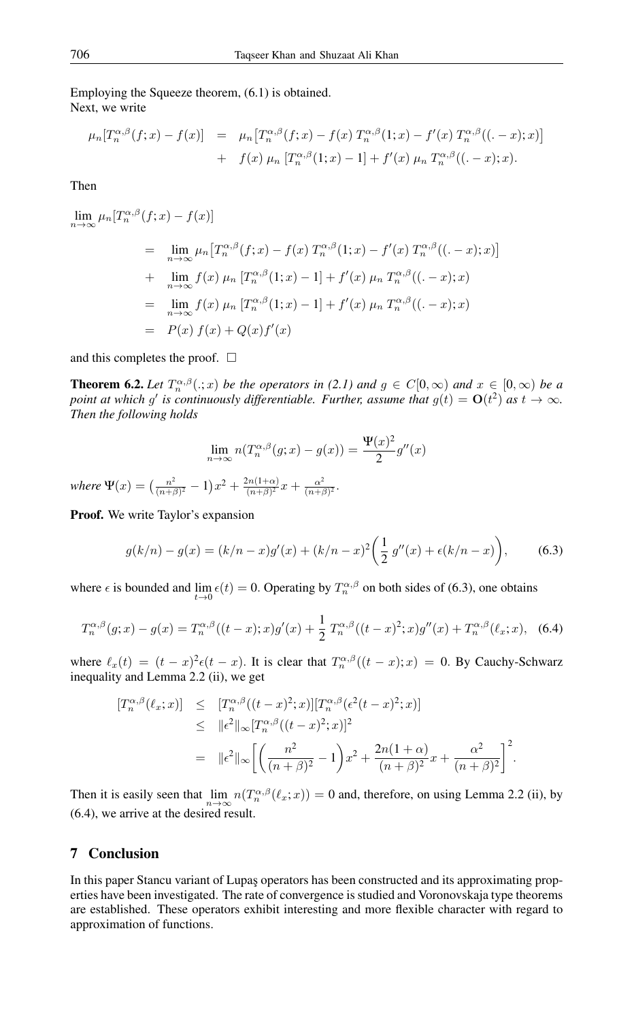#### Employing the Squeeze theorem, (6.1) is obtained. Next, we write

$$
\mu_n[T_n^{\alpha,\beta}(f;x) - f(x)] = \mu_n[T_n^{\alpha,\beta}(f;x) - f(x) T_n^{\alpha,\beta}(1;x) - f'(x) T_n^{\alpha,\beta}((-x);x)] + f(x) \mu_n[T_n^{\alpha,\beta}(1;x) - 1] + f'(x) \mu_n T_n^{\alpha,\beta}((-x);x).
$$

Then

$$
\lim_{n \to \infty} \mu_n [T_n^{\alpha,\beta}(f;x) - f(x)]
$$
\n
$$
= \lim_{n \to \infty} \mu_n [T_n^{\alpha,\beta}(f;x) - f(x) T_n^{\alpha,\beta}(1;x) - f'(x) T_n^{\alpha,\beta}((-x);x)]
$$
\n
$$
+ \lim_{n \to \infty} f(x) \mu_n [T_n^{\alpha,\beta}(1;x) - 1] + f'(x) \mu_n T_n^{\alpha,\beta}((-x);x)
$$
\n
$$
= \lim_{n \to \infty} f(x) \mu_n [T_n^{\alpha,\beta}(1;x) - 1] + f'(x) \mu_n T_n^{\alpha,\beta}((-x);x)
$$
\n
$$
= P(x) f(x) + Q(x)f'(x)
$$

and this completes the proof.  $\Box$ 

**Theorem 6.2.** Let  $T_n^{\alpha,\beta}(.;x)$  be the operators in (2.1) and  $g \in C[0,\infty)$  and  $x \in [0,\infty)$  be a *point at which g' is continuously differentiable. Further, assume that*  $g(t) = O(t^2)$  *as*  $t \to \infty$ *. Then the following holds*

$$
\lim_{n \to \infty} n(T_n^{\alpha,\beta}(g;x) - g(x)) = \frac{\Psi(x)^2}{2}g''(x)
$$

*where*  $\Psi(x) = \left(\frac{n^2}{(n+1)}\right)$  $\frac{n^2}{(n+\beta)^2} - 1)x^2 + \frac{2n(1+\alpha)}{(n+\beta)^2}$  $\frac{2n(1+\alpha)}{(n+\beta)^2}x+\frac{\alpha^2}{(n+\beta)^2}$  $\frac{\alpha^2}{(n+\beta)^2}$ .

Proof. We write Taylor's expansion

$$
g(k/n) - g(x) = (k/n - x)g'(x) + (k/n - x)^2 \left(\frac{1}{2} g''(x) + \epsilon(k/n - x)\right),\tag{6.3}
$$

where  $\epsilon$  is bounded and  $\lim_{t\to 0} \epsilon(t) = 0$ . Operating by  $T_n^{\alpha,\beta}$  on both sides of (6.3), one obtains

$$
T_n^{\alpha,\beta}(g;x) - g(x) = T_n^{\alpha,\beta}((t-x);x)g'(x) + \frac{1}{2}T_n^{\alpha,\beta}((t-x)^2;x)g''(x) + T_n^{\alpha,\beta}(\ell_x;x), \quad (6.4)
$$

where  $\ell_x(t) = (t-x)^2 \epsilon(t-x)$ . It is clear that  $T_n^{\alpha,\beta}((t-x);x) = 0$ . By Cauchy-Schwarz inequality and Lemma 2.2 (ii), we get

$$
\begin{split} [T_n^{\alpha,\beta}(\ell_x;x)] &\leq [T_n^{\alpha,\beta}((t-x)^2;x)][T_n^{\alpha,\beta}(\epsilon^2(t-x)^2;x)] \\ &\leq \|\epsilon^2\|_{\infty} [T_n^{\alpha,\beta}((t-x)^2;x)]^2 \\ &= \|\epsilon^2\|_{\infty} \bigg[ \bigg( \frac{n^2}{(n+\beta)^2} - 1 \bigg) x^2 + \frac{2n(1+\alpha)}{(n+\beta)^2} x + \frac{\alpha^2}{(n+\beta)^2} \bigg]^2. \end{split}
$$

Then it is easily seen that  $\lim_{n\to\infty} n(T_n^{\alpha,\beta}(\ell_x; x)) = 0$  and, therefore, on using Lemma 2.2 (ii), by (6.4), we arrive at the desired result.

#### 7 Conclusion

In this paper Stancu variant of Lupaş operators has been constructed and its approximating properties have been investigated. The rate of convergence is studied and Voronovskaja type theorems are established. These operators exhibit interesting and more flexible character with regard to approximation of functions.